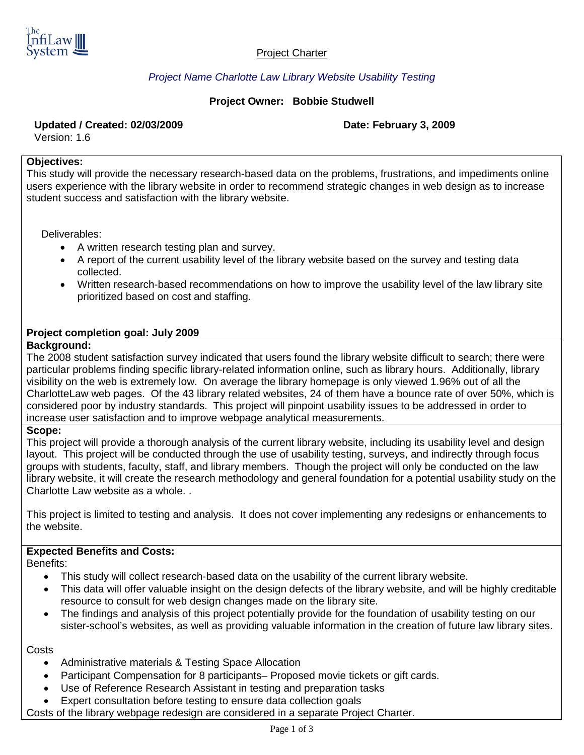

#### Project Charter

## *Project Name Charlotte Law Library Website Usability Testing*

### **Project Owner: Bobbie Studwell**

#### **Updated / Created: 02/03/2009 Date: February 3, 2009**

Version: 1.6

#### **Objectives:**

This study will provide the necessary research-based data on the problems, frustrations, and impediments online users experience with the library website in order to recommend strategic changes in web design as to increase student success and satisfaction with the library website.

Deliverables:

- A written research testing plan and survey.
- A report of the current usability level of the library website based on the survey and testing data collected.
- Written research-based recommendations on how to improve the usability level of the law library site prioritized based on cost and staffing.

#### **Project completion goal: July 2009**

#### **Background:**

The 2008 student satisfaction survey indicated that users found the library website difficult to search; there were particular problems finding specific library-related information online, such as library hours. Additionally, library visibility on the web is extremely low. On average the library homepage is only viewed 1.96% out of all the CharlotteLaw web pages. Of the 43 library related websites, 24 of them have a bounce rate of over 50%, which is considered poor by industry standards. This project will pinpoint usability issues to be addressed in order to increase user satisfaction and to improve webpage analytical measurements.

#### **Scope:**

This project will provide a thorough analysis of the current library website, including its usability level and design layout. This project will be conducted through the use of usability testing, surveys, and indirectly through focus groups with students, faculty, staff, and library members. Though the project will only be conducted on the law library website, it will create the research methodology and general foundation for a potential usability study on the Charlotte Law website as a whole. .

This project is limited to testing and analysis. It does not cover implementing any redesigns or enhancements to the website.

# **Expected Benefits and Costs:**

Benefits:

- This study will collect research-based data on the usability of the current library website.
- This data will offer valuable insight on the design defects of the library website, and will be highly creditable resource to consult for web design changes made on the library site.
- The findings and analysis of this project potentially provide for the foundation of usability testing on our sister-school's websites, as well as providing valuable information in the creation of future law library sites.

**Costs** 

- Administrative materials & Testing Space Allocation
- Participant Compensation for 8 participants– Proposed movie tickets or gift cards.
- Use of Reference Research Assistant in testing and preparation tasks
- Expert consultation before testing to ensure data collection goals

Costs of the library webpage redesign are considered in a separate Project Charter.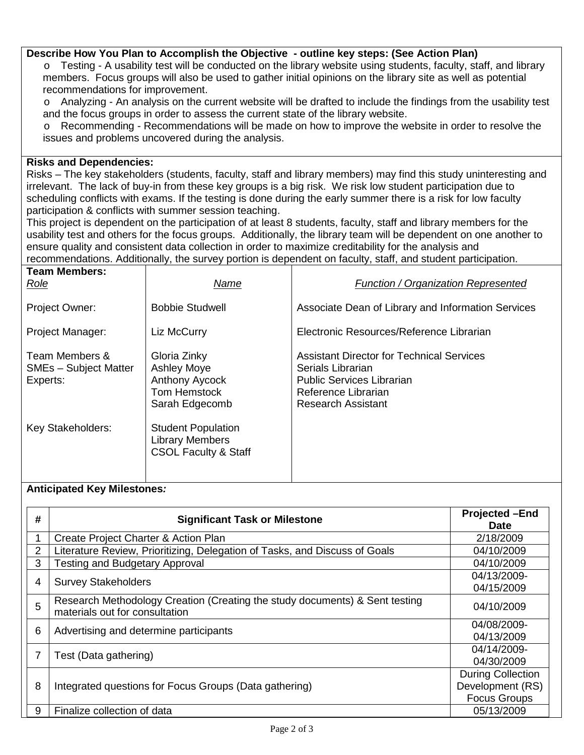#### **Describe How You Plan to Accomplish the Objective - outline key steps: (See Action Plan)**

o Testing - A usability test will be conducted on the library website using students, faculty, staff, and library members. Focus groups will also be used to gather initial opinions on the library site as well as potential recommendations for improvement.

o Analyzing - An analysis on the current website will be drafted to include the findings from the usability test and the focus groups in order to assess the current state of the library website.

o Recommending - Recommendations will be made on how to improve the website in order to resolve the issues and problems uncovered during the analysis.

#### **Risks and Dependencies:**

Risks – The key stakeholders (students, faculty, staff and library members) may find this study uninteresting and irrelevant. The lack of buy-in from these key groups is a big risk. We risk low student participation due to scheduling conflicts with exams. If the testing is done during the early summer there is a risk for low faculty participation & conflicts with summer session teaching.

This project is dependent on the participation of at least 8 students, faculty, staff and library members for the usability test and others for the focus groups. Additionally, the library team will be dependent on one another to ensure quality and consistent data collection in order to maximize creditability for the analysis and recommendations. Additionally, the survey portion is dependent on faculty, staff, and student participation.

| <b>Team Members:</b><br>Role                               | Name                                                                                          | <b>Function / Organization Represented</b>                                                                                                                    |
|------------------------------------------------------------|-----------------------------------------------------------------------------------------------|---------------------------------------------------------------------------------------------------------------------------------------------------------------|
| Project Owner:                                             | <b>Bobbie Studwell</b>                                                                        | Associate Dean of Library and Information Services                                                                                                            |
| Project Manager:                                           | Liz McCurry                                                                                   | Electronic Resources/Reference Librarian                                                                                                                      |
| Team Members &<br><b>SMEs - Subject Matter</b><br>Experts: | Gloria Zinky<br><b>Ashley Moye</b><br>Anthony Aycock<br><b>Tom Hemstock</b><br>Sarah Edgecomb | <b>Assistant Director for Technical Services</b><br>Serials Librarian<br><b>Public Services Librarian</b><br>Reference Librarian<br><b>Research Assistant</b> |
| Key Stakeholders:                                          | <b>Student Population</b><br><b>Library Members</b><br><b>CSOL Faculty &amp; Staff</b>        |                                                                                                                                                               |

#### **Anticipated Key Milestones***:*

| #              | <b>Significant Task or Milestone</b>                                                                          | <b>Projected -End</b><br><b>Date</b>                                |
|----------------|---------------------------------------------------------------------------------------------------------------|---------------------------------------------------------------------|
|                | Create Project Charter & Action Plan                                                                          | 2/18/2009                                                           |
| $\overline{2}$ | Literature Review, Prioritizing, Delegation of Tasks, and Discuss of Goals                                    | 04/10/2009                                                          |
| 3              | <b>Testing and Budgetary Approval</b>                                                                         | 04/10/2009                                                          |
| 4              | <b>Survey Stakeholders</b>                                                                                    | 04/13/2009-<br>04/15/2009                                           |
| 5              | Research Methodology Creation (Creating the study documents) & Sent testing<br>materials out for consultation | 04/10/2009                                                          |
| 6              | Advertising and determine participants                                                                        | 04/08/2009-<br>04/13/2009                                           |
| 7              | Test (Data gathering)                                                                                         | 04/14/2009-<br>04/30/2009                                           |
| 8              | Integrated questions for Focus Groups (Data gathering)                                                        | <b>During Collection</b><br>Development (RS)<br><b>Focus Groups</b> |
| 9              | Finalize collection of data                                                                                   | 05/13/2009                                                          |